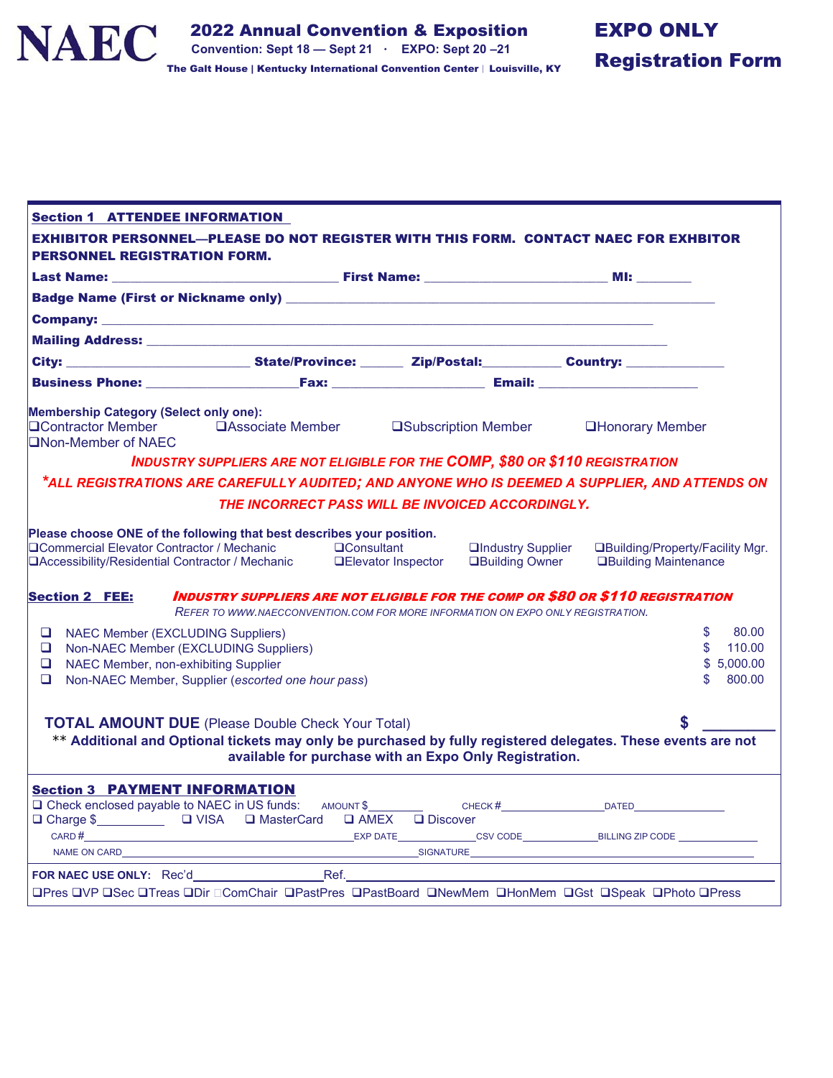

| <b>Section 1 ATTENDEE INFORMATION</b>                                                                                                                                                                                              |                                                                                     |                                |                                                    |                                                                                               |
|------------------------------------------------------------------------------------------------------------------------------------------------------------------------------------------------------------------------------------|-------------------------------------------------------------------------------------|--------------------------------|----------------------------------------------------|-----------------------------------------------------------------------------------------------|
| <b>EXHIBITOR PERSONNEL—PLEASE DO NOT REGISTER WITH THIS FORM. CONTACT NAEC FOR EXHBITOR</b><br><b>PERSONNEL REGISTRATION FORM.</b>                                                                                                 |                                                                                     |                                |                                                    |                                                                                               |
|                                                                                                                                                                                                                                    |                                                                                     |                                |                                                    |                                                                                               |
|                                                                                                                                                                                                                                    |                                                                                     |                                |                                                    |                                                                                               |
|                                                                                                                                                                                                                                    |                                                                                     |                                |                                                    |                                                                                               |
|                                                                                                                                                                                                                                    |                                                                                     |                                |                                                    |                                                                                               |
| City: _____________________________State/Province: ________ Zip/Postal: _________ Country: ______________                                                                                                                          |                                                                                     |                                |                                                    |                                                                                               |
|                                                                                                                                                                                                                                    |                                                                                     |                                |                                                    |                                                                                               |
| <b>Membership Category (Select only one):</b><br>□Contractor Member □Associate Member □Subscription Member □Honorary Member<br><b>QNon-Member of NAEC</b>                                                                          |                                                                                     |                                |                                                    |                                                                                               |
|                                                                                                                                                                                                                                    | <b>INDUSTRY SUPPLIERS ARE NOT ELIGIBLE FOR THE COMP, \$80 OR \$110 REGISTRATION</b> |                                |                                                    |                                                                                               |
|                                                                                                                                                                                                                                    |                                                                                     |                                |                                                    | *ALL REGISTRATIONS ARE CAREFULLY AUDITED; AND ANYONE WHO IS DEEMED A SUPPLIER, AND ATTENDS ON |
| THE INCORRECT PASS WILL BE INVOICED ACCORDINGLY.                                                                                                                                                                                   |                                                                                     |                                |                                                    |                                                                                               |
| Please choose ONE of the following that best describes your position.<br>□ Commercial Elevator Contractor / Mechanic □ □ Consultant<br>□ Accessibility/Residential Contractor / Mechanic □ □ Elevator Inspector                    |                                                                                     |                                | <b>QIndustry Supplier</b><br><b>Building Owner</b> | □Building/Property/Facility Mgr.<br><b>QBuilding Maintenance</b>                              |
| <b>Section 2 FEE:</b>                                                                                                                                                                                                              | REFER TO WWW.NAECCONVENTION.COM FOR MORE INFORMATION ON EXPO ONLY REGISTRATION.     |                                |                                                    | INDUSTRY SUPPLIERS ARE NOT ELIGIBLE FOR THE COMP OR \$80 OR \$110 REGISTRATION                |
| <b>NAEC Member (EXCLUDING Suppliers)</b><br>$\Box$<br>Non-NAEC Member (EXCLUDING Suppliers)<br>$\Box$<br>NAEC Member, non-exhibiting Supplier<br>$\Box$<br>$\Box$<br>Non-NAEC Member, Supplier (escorted one hour pass)            |                                                                                     |                                |                                                    | \$<br>80.00<br>$\mathbb{S}$<br>110.00<br>\$5,000.00<br>800.00<br>\$.                          |
| <b>TOTAL AMOUNT DUE</b> (Please Double Check Your Total)<br>** Additional and Optional tickets may only be purchased by fully registered delegates. These events are not<br>available for purchase with an Expo Only Registration. |                                                                                     |                                |                                                    |                                                                                               |
| <b>Section 3 PAYMENT INFORMATION</b><br>□ Charge \$ □ VISA □ MasterCard □ AMEX □ Discover<br>$CARD \#$<br>NAME ON CARD                                                                                                             |                                                                                     | SIGNATURE <b>And SIGNATURE</b> |                                                    |                                                                                               |
| <b>OPres OVP OSec OTreas ODir OComChair OPastPres OPastBoard ONewMem OHonMem OGst OSpeak OPhoto OPress</b>                                                                                                                         |                                                                                     |                                |                                                    |                                                                                               |